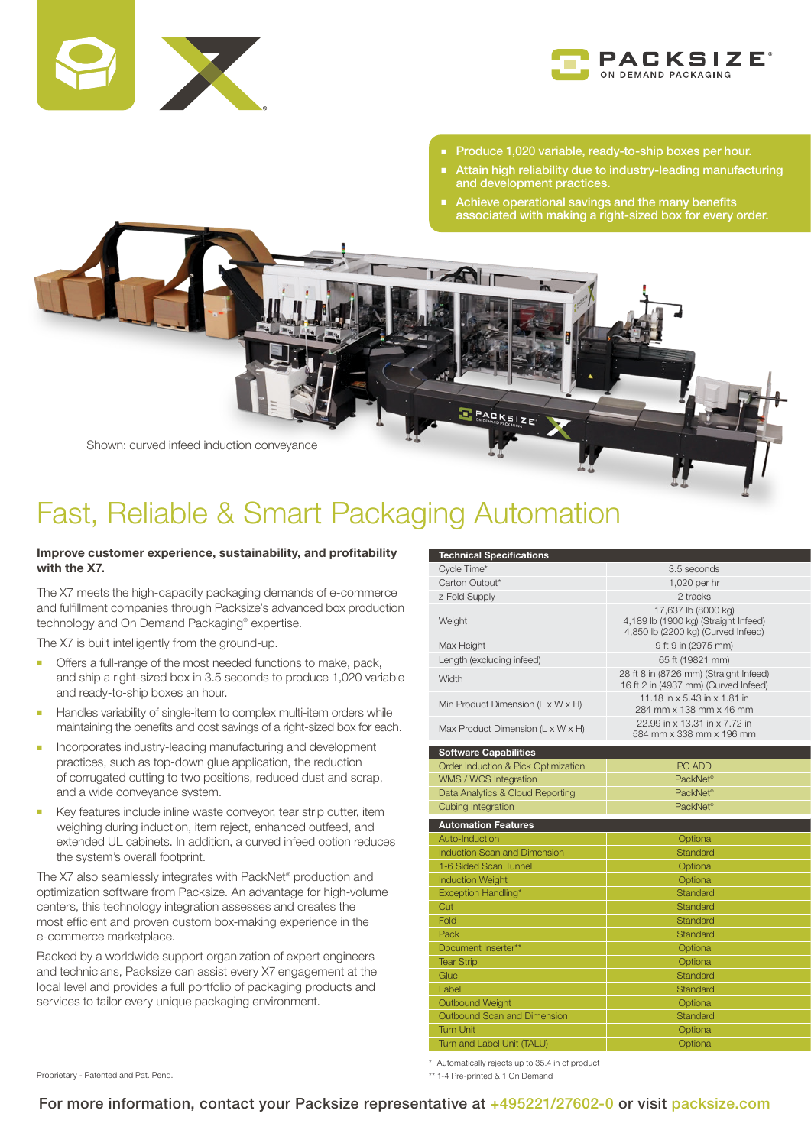



- Produce 1,020 variable, ready-to-ship boxes per hour.
- Attain high reliability due to industry-leading manufacturing and development practices.
- Achieve operational savings and the many benefits associated with making a right-sized box for every order.



## Fast, Reliable & Smart Packaging Automation

## Improve customer experience, sustainability, and profitability with the X7.

The X7 meets the high-capacity packaging demands of e-commerce and fulfillment companies through Packsize's advanced box production technology and On Demand Packaging® expertise.

The X7 is built intelligently from the ground-up.

- **n** Offers a full-range of the most needed functions to make, pack, and ship a right-sized box in 3.5 seconds to produce 1,020 variable and ready-to-ship boxes an hour.
- **-** Handles variability of single-item to complex multi-item orders while maintaining the benefits and cost savings of a right-sized box for each.
- **n** Incorporates industry-leading manufacturing and development practices, such as top-down glue application, the reduction of corrugated cutting to two positions, reduced dust and scrap, and a wide conveyance system.
- **Key features include inline waste conveyor, tear strip cutter, item** weighing during induction, item reject, enhanced outfeed, and extended UL cabinets. In addition, a curved infeed option reduces the system's overall footprint.

The X7 also seamlessly integrates with PackNet® production and optimization software from Packsize. An advantage for high-volume centers, this technology integration assesses and creates the most efficient and proven custom box-making experience in the e-commerce marketplace.

Backed by a worldwide support organization of expert engineers and technicians, Packsize can assist every X7 engagement at the local level and provides a full portfolio of packaging products and services to tailor every unique packaging environment.

| <b>Technical Specifications</b>                 |                                                                                                   |
|-------------------------------------------------|---------------------------------------------------------------------------------------------------|
| Cycle Time*                                     | 3.5 seconds                                                                                       |
| Carton Output*                                  | 1,020 per hr                                                                                      |
| z-Fold Supply                                   | 2 tracks                                                                                          |
| Weight                                          | 17,637 lb (8000 kg)<br>4,189 lb (1900 kg) (Straight Infeed)<br>4,850 lb (2200 kg) (Curved Infeed) |
| Max Height                                      | 9 ft 9 in (2975 mm)                                                                               |
| Length (excluding infeed)                       | 65 ft (19821 mm)                                                                                  |
| Width                                           | 28 ft 8 in (8726 mm) (Straight Infeed)<br>16 ft 2 in (4937 mm) (Curved Infeed)                    |
| Min Product Dimension ( $L \times W \times H$ ) | 11.18 in x 5.43 in x 1.81 in<br>284 mm x 138 mm x 46 mm                                           |
| Max Product Dimension (L x W x H)               | 22.99 in x 13.31 in x 7.72 in<br>584 mm x 338 mm x 196 mm                                         |
| <b>Software Capabilities</b>                    |                                                                                                   |
| Order Induction & Pick Optimization             | PC ADD                                                                                            |
| WMS / WCS Integration                           | PackNet <sup>®</sup>                                                                              |
| Data Analytics & Cloud Reporting                | PackNet <sup>®</sup>                                                                              |
| <b>Cubing Integration</b>                       | PackNet <sup>®</sup>                                                                              |
| <b>Automation Features</b>                      |                                                                                                   |
| Auto-Induction                                  | Optional                                                                                          |
| Induction Scan and Dimension                    | <b>Standard</b>                                                                                   |
| 1-6 Sided Scan Tunnel                           | Optional                                                                                          |
| <b>Induction Weight</b>                         | Optional                                                                                          |
| Exception Handling*                             | Standard                                                                                          |
| Cut                                             | Standard                                                                                          |
| Fold                                            | Standard                                                                                          |
| Pack                                            | Standard                                                                                          |
| Document Inserter**                             | Optional                                                                                          |
| <b>Tear Strip</b>                               | Optional                                                                                          |
| Glue                                            | Standard                                                                                          |
| Label                                           | Standard                                                                                          |
| <b>Outbound Weight</b>                          | Optional                                                                                          |
| Outbound Scan and Dimension                     | Standard                                                                                          |
| <b>Turn Unit</b>                                | Optional                                                                                          |
| Turn and Label Unit (TALU)                      | Optional                                                                                          |

\* Automatically rejects up to 35.4 in of product

\*\* 1-4 Pre-printed & 1 On Demand

Proprietary - Patented and Pat. Pend.